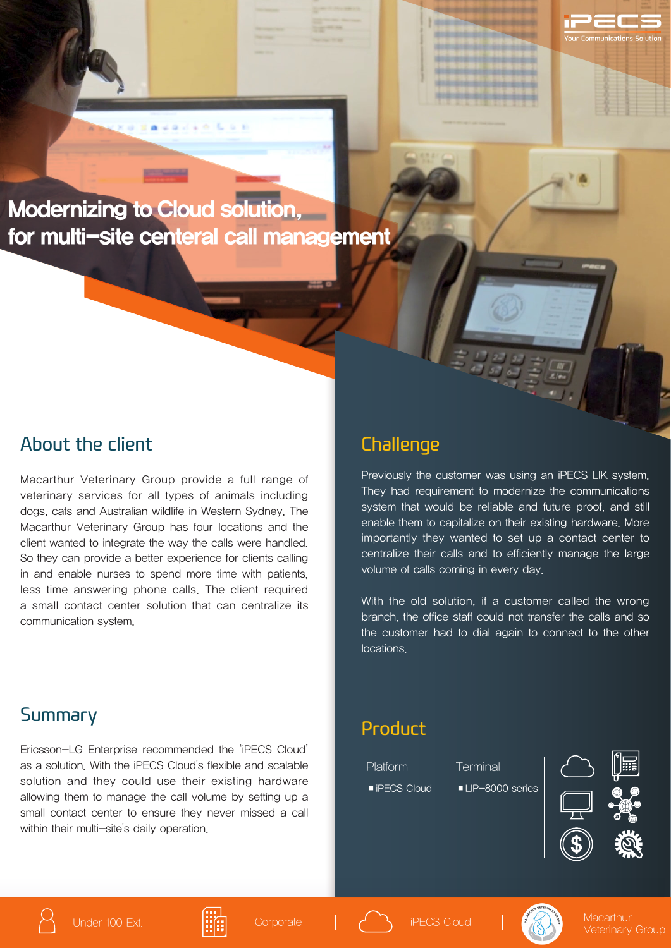

**Envariant** at

#### About the client

Macarthur Veterinary Group provide a full range of veterinary services for all types of animals including dogs, cats and Australian wildlife in Western Sydney. The Macarthur Veterinary Group has four locations and the client wanted to integrate the way the calls were handled. So they can provide a better experience for clients calling in and enable nurses to spend more time with patients, less time answering phone calls. The client required a small contact center solution that can centralize its communication system.

## **Challenge**

Previously the customer was using an iPECS LIK system. They had requirement to modernize the communications system that would be reliable and future proof, and still enable them to capitalize on their existing hardware. More importantly they wanted to set up a contact center to centralize their calls and to efficiently manage the large volume of calls coming in every day.

**Ending College Company** 

81918191010101010 **MARKED MARKED** 1010101012101010101 **Introduccionesiste** 

With the old solution, if a customer called the wrong branch, the office staff could not transfer the calls and so the customer had to dial again to connect to the other locations.

## Summary

Ericsson-LG Enterprise recommended the 'iPECS Cloud' as a solution. With the iPECS Cloud's flexible and scalable solution and they could use their existing hardware allowing them to manage the call volume by setting up a small contact center to ensure they never missed a call within their multi-site's daily operation.

### Product

Platform Terminal

■ iPECS Cloud ■ LIP-8000 series



1 H H

nunications Solution









Veterinary Group